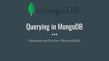

## Querying in MongoDB  $\bullet\bullet\bullet$

Databases and Practice- Menna Khaliel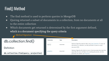### Find() Method

- The find method is used to perform queries in MongoDB
- Quiring returned a subset of documents in a collection, from no documents at all to the entire collection
- Which documents get returned is determined by the first argument defined, which is a document specifying the query criteria

Method Signature

#### db.collection.find()

**Definition** 

db.collection.find(query, projection)

| Parameter  | <b>Type</b> | <b>Description</b>                                                                                                                                                                             |
|------------|-------------|------------------------------------------------------------------------------------------------------------------------------------------------------------------------------------------------|
| query      | document    | Optional. Specifies selection filter using query operators. To return all<br>documents in a collection, omit this parameter or pass an empty<br>document $(\overline{\})$ .                    |
| projection | document    | Optional. Specifies the fields to return in the documents that match the<br>query filter. To return all fields in the matching documents, omit this<br>parameter. For details, see Projection. |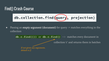db.collection.find(query), projection)

• Passing an **empty argument (document)** for query  $\rightarrow$  matches everything in the collection

> **db.c.find({})** or **db.c.find()**  $\rightarrow$  matches every document in collection 'c' and returns them in batches If not given any arguments, default is  $\iota$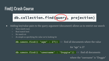

- Adding key/value pairs to the query argument (document) allows us to restrict our search
	- Num match num
	- Bool match bool
	- Str match str
	- As simple as specifying the value we're looking for

**db.users.find({ "age" : 27})**  $\rightarrow$  find all documents where the value for "age" is 27 **db.users.find({ "username" : "Doggie"})** -> find all documents

where the "username" is "Doggie"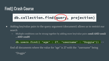db.collection.find(query), projection)

- Adding key/value pairs to the query argument (document) allows us to restrict our search
	- $\circ$  Multiple conditions can be strung together by adding more key/value pairs: **cond1 AND cond2** … AND condN

**db.users.find({ "age" : 27, "username" : "Doggie"})** ->

find all documents where the value for "age" is 27 with the "username" being

"Doggie"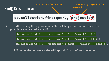

● To further specify the keys we want in the matching document, we can use the projection argument (document)

**db.users.find({}, {"username" : 1 , "email" : 1})** ->

**db.users.find({}, {"username" : 6 , "email" : 14})**->

**db.users.find({}, {"username" : true , "email" : true})**->

ALL return the username and email keys only from the 'users' collection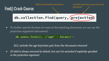

● To further specify the keys we want in the matching document, we can use the projection argument (document)

**db.users.find({}, {"age" : false})**->

ALL exclude the age key/value pair from the document returned

*●* ID field is always returned by default, but can't be excluded if explicitly specified in the projection argument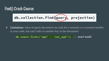db.collection.find(query), projection)

• Limitations: value of query document can only be a constant, or a normal variable in your code, but can't refer to another key in the document

**db.users.find({"age" : "cat\_age"})** -> won't work!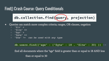#### Find() Crash Course: Query Conditionals



- Queries can match more complex criteria; ranges, OR-clauses, negation
	- **○ "\$lt" <**
	- **○ "\$lte" <=**
	- **○ "\$gt" >**
	- **○ "\$gte" >=**
	- **○ "\$ne" !=** *can be used with any type*

#### **db.users.find({"age" : {"\$gte" : 18 , "\$lte" : 30} })** ->

find all documents where the "age" field is greater than or equal to 18 AND less than or equal to 30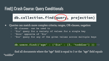#### Find() Crash Course: Query Conditionals

db.collection.find(query), projection)

• Queries can match more complex criteria; ranges, OR-clauses, negation

- **○ OR clauses: can be used to**
- **○ "\$in" query for a variety of values for a single key**
- **○ "\$nin" opposite of "\$in"**
- **○ "\$or" query for any of the given values across multiple keys**

#### **db.users.find({"age" : {"\$in" : [3, "toddler"] })** ->

find all documents where the "age" field is equal to 3 or the "age" field equals "toddler"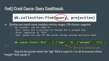#### Find() Crash Course: Query Conditionals

db.collection.find(query), projection)

• Queries can match more complex criteria; ranges, OR-clauses, negation

- **○ OR clauses: can be used to**
- **○ "\$in" query for a variety of values for a single key**
- **○ "\$nin" opposite of "\$in"**

 $\mathord{\hspace{1pt}\text{--}\hspace{1pt}}$ 

**○ "\$or" query for any of the given values across multiple keys**

**db.users.find({"\$or" : [ {"age" : 3}, {"weight" : 17}] )**

"\$in" can be used here as well !

find all documents where the "age" field is equal to 3 or all documents where "weight" field equals 17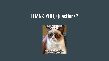# THANK YOU, Questions?